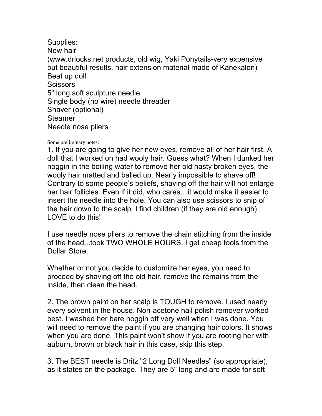Supplies: New hair (www.drlocks.net products, old wig, Yaki Ponytails-very expensive but beautiful results, hair extension material made of Kanekalon) Beat up doll **Scissors** 5" long soft sculpture needle Single body (no wire) needle threader Shaver (optional) Steamer Needle nose pliers

## Some preliminary notes:

1. If you are going to give her new eyes, remove all of her hair first. A doll that I worked on had wooly hair. Guess what? When I dunked her noggin in the boiling water to remove her old nasty broken eyes, the wooly hair matted and balled up. Nearly impossible to shave off! Contrary to some people's beliefs, shaving off the hair will not enlarge her hair follicles. Even if it did, who cares…it would make it easier to insert the needle into the hole. You can also use scissors to snip of the hair down to the scalp. I find children (if they are old enough) LOVE to do this!

I use needle nose pliers to remove the chain stitching from the inside of the head...took TWO WHOLE HOURS. I get cheap tools from the Dollar Store.

Whether or not you decide to customize her eyes, you need to proceed by shaving off the old hair, remove the remains from the inside, then clean the head.

2. The brown paint on her scalp is TOUGH to remove. I used nearly every solvent in the house. Non-acetone nail polish remover worked best. I washed her bare noggin off very well when I was done. You will need to remove the paint if you are changing hair colors. It shows when you are done. This paint won't show if you are rooting her with auburn, brown or black hair in this case, skip this step.

3. The BEST needle is Dritz "2 Long Doll Needles" (so appropriate), as it states on the package. They are 5" long and are made for soft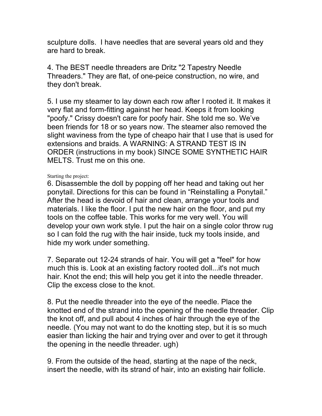sculpture dolls. I have needles that are several years old and they are hard to break.

4. The BEST needle threaders are Dritz "2 Tapestry Needle Threaders." They are flat, of one-peice construction, no wire, and they don't break.

5. I use my steamer to lay down each row after I rooted it. It makes it very flat and form-fitting against her head. Keeps it from looking "poofy." Crissy doesn't care for poofy hair. She told me so. We've been friends for 18 or so years now. The steamer also removed the slight waviness from the type of cheapo hair that I use that is used for extensions and braids. A WARNING: A STRAND TEST IS IN ORDER (instructions in my book) SINCE SOME SYNTHETIC HAIR MELTS. Trust me on this one.

## Starting the project:

6. Disassemble the doll by popping off her head and taking out her ponytail. Directions for this can be found in "Reinstalling a Ponytail." After the head is devoid of hair and clean, arrange your tools and materials. I like the floor. I put the new hair on the floor, and put my tools on the coffee table. This works for me very well. You will develop your own work style. I put the hair on a single color throw rug so I can fold the rug with the hair inside, tuck my tools inside, and hide my work under something.

7. Separate out 12-24 strands of hair. You will get a "feel" for how much this is. Look at an existing factory rooted doll...it's not much hair. Knot the end; this will help you get it into the needle threader. Clip the excess close to the knot.

8. Put the needle threader into the eye of the needle. Place the knotted end of the strand into the opening of the needle threader. Clip the knot off, and pull about 4 inches of hair through the eye of the needle. (You may not want to do the knotting step, but it is so much easier than licking the hair and trying over and over to get it through the opening in the needle threader. ugh)

9. From the outside of the head, starting at the nape of the neck, insert the needle, with its strand of hair, into an existing hair follicle.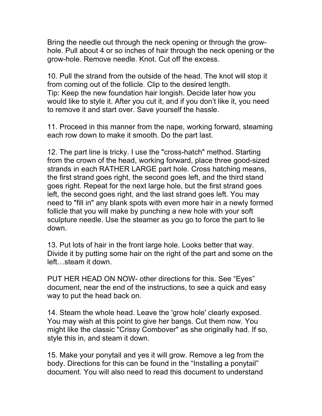Bring the needle out through the neck opening or through the growhole. Pull about 4 or so inches of hair through the neck opening or the grow-hole. Remove needle. Knot. Cut off the excess.

10. Pull the strand from the outside of the head. The knot will stop it from coming out of the follicle. Clip to the desired length. Tip: Keep the new foundation hair longish. Decide later how you would like to style it. After you cut it, and if you don't like it, you need to remove it and start over. Save yourself the hassle.

11. Proceed in this manner from the nape, working forward, steaming each row down to make it smooth. Do the part last.

12. The part line is tricky. I use the "cross-hatch" method. Starting from the crown of the head, working forward, place three good-sized strands in each RATHER LARGE part hole. Cross hatching means, the first strand goes right, the second goes left, and the third stand goes right. Repeat for the next large hole, but the first strand goes left, the second goes right, and the last strand goes left. You may need to "fill in" any blank spots with even more hair in a newly formed follicle that you will make by punching a new hole with your soft sculpture needle. Use the steamer as you go to force the part to lie down.

13. Put lots of hair in the front large hole. Looks better that way. Divide it by putting some hair on the right of the part and some on the left…steam it down.

PUT HER HEAD ON NOW- other directions for this. See "Eyes" document, near the end of the instructions, to see a quick and easy way to put the head back on.

14. Steam the whole head. Leave the 'grow hole' clearly exposed. You may wish at this point to give her bangs. Cut them now. You might like the classic "Crissy Combover" as she originally had. If so, style this in, and steam it down.

15. Make your ponytail and yes it will grow. Remove a leg from the body. Directions for this can be found in the "Installing a ponytail" document. You will also need to read this document to understand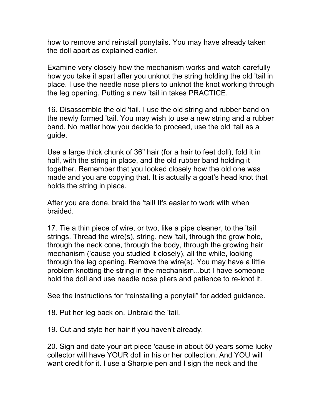how to remove and reinstall ponytails. You may have already taken the doll apart as explained earlier.

Examine very closely how the mechanism works and watch carefully how you take it apart after you unknot the string holding the old 'tail in place. I use the needle nose pliers to unknot the knot working through the leg opening. Putting a new 'tail in takes PRACTICE.

16. Disassemble the old 'tail. I use the old string and rubber band on the newly formed 'tail. You may wish to use a new string and a rubber band. No matter how you decide to proceed, use the old 'tail as a guide.

Use a large thick chunk of 36" hair (for a hair to feet doll), fold it in half, with the string in place, and the old rubber band holding it together. Remember that you looked closely how the old one was made and you are copying that. It is actually a goat's head knot that holds the string in place.

After you are done, braid the 'tail! It's easier to work with when braided.

17. Tie a thin piece of wire, or two, like a pipe cleaner, to the 'tail strings. Thread the wire(s), string, new 'tail, through the grow hole, through the neck cone, through the body, through the growing hair mechanism ('cause you studied it closely), all the while, looking through the leg opening. Remove the wire(s). You may have a little problem knotting the string in the mechanism...but I have someone hold the doll and use needle nose pliers and patience to re-knot it.

See the instructions for "reinstalling a ponytail" for added guidance.

18. Put her leg back on. Unbraid the 'tail.

19. Cut and style her hair if you haven't already.

20. Sign and date your art piece 'cause in about 50 years some lucky collector will have YOUR doll in his or her collection. And YOU will want credit for it. I use a Sharpie pen and I sign the neck and the